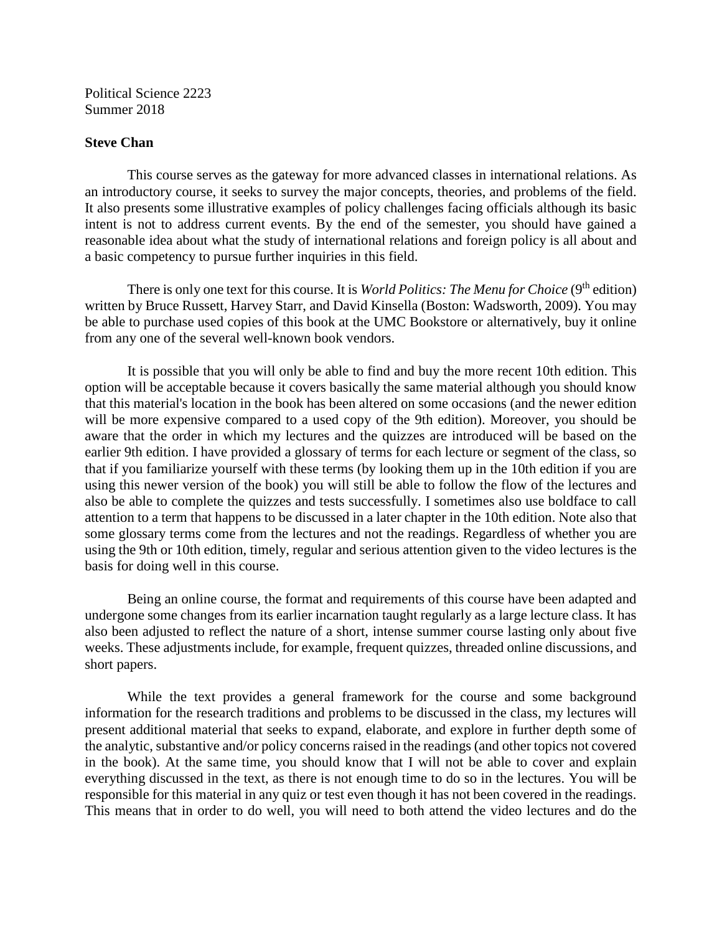Political Science 2223 Summer 2018

#### **Steve Chan**

This course serves as the gateway for more advanced classes in international relations. As an introductory course, it seeks to survey the major concepts, theories, and problems of the field. It also presents some illustrative examples of policy challenges facing officials although its basic intent is not to address current events. By the end of the semester, you should have gained a reasonable idea about what the study of international relations and foreign policy is all about and a basic competency to pursue further inquiries in this field.

There is only one text for this course. It is *World Politics: The Menu for Choice* (9<sup>th</sup> edition) written by Bruce Russett, Harvey Starr, and David Kinsella (Boston: Wadsworth, 2009). You may be able to purchase used copies of this book at the UMC Bookstore or alternatively, buy it online from any one of the several well-known book vendors.

It is possible that you will only be able to find and buy the more recent 10th edition. This option will be acceptable because it covers basically the same material although you should know that this material's location in the book has been altered on some occasions (and the newer edition will be more expensive compared to a used copy of the 9th edition). Moreover, you should be aware that the order in which my lectures and the quizzes are introduced will be based on the earlier 9th edition. I have provided a glossary of terms for each lecture or segment of the class, so that if you familiarize yourself with these terms (by looking them up in the 10th edition if you are using this newer version of the book) you will still be able to follow the flow of the lectures and also be able to complete the quizzes and tests successfully. I sometimes also use boldface to call attention to a term that happens to be discussed in a later chapter in the 10th edition. Note also that some glossary terms come from the lectures and not the readings. Regardless of whether you are using the 9th or 10th edition, timely, regular and serious attention given to the video lectures is the basis for doing well in this course.

Being an online course, the format and requirements of this course have been adapted and undergone some changes from its earlier incarnation taught regularly as a large lecture class. It has also been adjusted to reflect the nature of a short, intense summer course lasting only about five weeks. These adjustments include, for example, frequent quizzes, threaded online discussions, and short papers.

While the text provides a general framework for the course and some background information for the research traditions and problems to be discussed in the class, my lectures will present additional material that seeks to expand, elaborate, and explore in further depth some of the analytic, substantive and/or policy concerns raised in the readings (and other topics not covered in the book). At the same time, you should know that I will not be able to cover and explain everything discussed in the text, as there is not enough time to do so in the lectures. You will be responsible for this material in any quiz or test even though it has not been covered in the readings. This means that in order to do well, you will need to both attend the video lectures and do the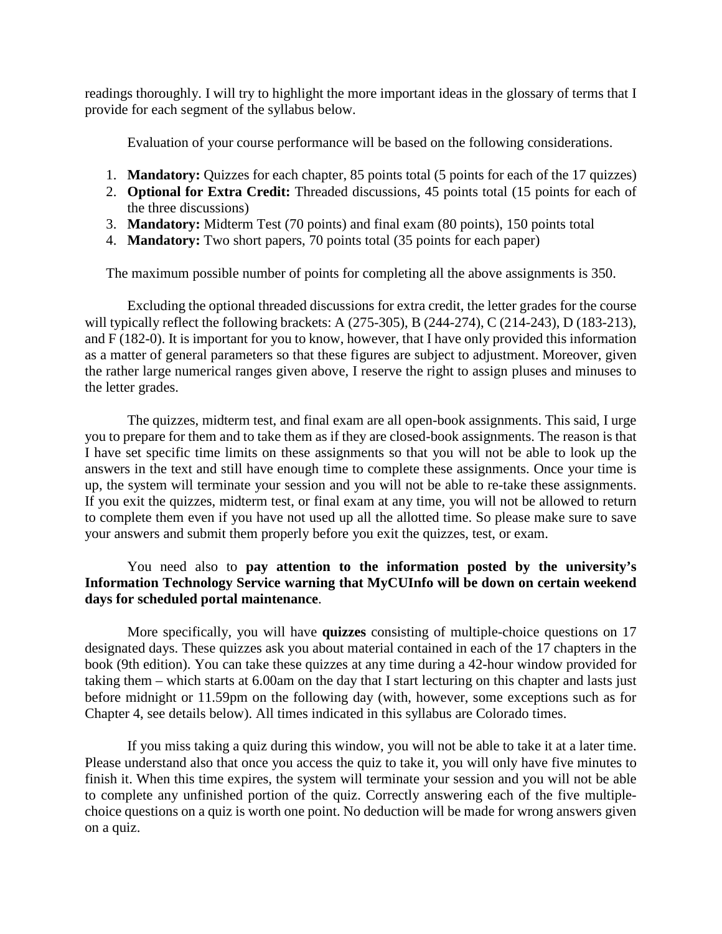readings thoroughly. I will try to highlight the more important ideas in the glossary of terms that I provide for each segment of the syllabus below.

Evaluation of your course performance will be based on the following considerations.

- 1. **Mandatory:** Quizzes for each chapter, 85 points total (5 points for each of the 17 quizzes)
- 2. **Optional for Extra Credit:** Threaded discussions, 45 points total (15 points for each of the three discussions)
- 3. **Mandatory:** Midterm Test (70 points) and final exam (80 points), 150 points total
- 4. **Mandatory:** Two short papers, 70 points total (35 points for each paper)

The maximum possible number of points for completing all the above assignments is 350.

Excluding the optional threaded discussions for extra credit, the letter grades for the course will typically reflect the following brackets: A (275-305), B (244-274), C (214-243), D (183-213), and F (182-0). It is important for you to know, however, that I have only provided this information as a matter of general parameters so that these figures are subject to adjustment. Moreover, given the rather large numerical ranges given above, I reserve the right to assign pluses and minuses to the letter grades.

The quizzes, midterm test, and final exam are all open-book assignments. This said, I urge you to prepare for them and to take them as if they are closed-book assignments. The reason is that I have set specific time limits on these assignments so that you will not be able to look up the answers in the text and still have enough time to complete these assignments. Once your time is up, the system will terminate your session and you will not be able to re-take these assignments. If you exit the quizzes, midterm test, or final exam at any time, you will not be allowed to return to complete them even if you have not used up all the allotted time. So please make sure to save your answers and submit them properly before you exit the quizzes, test, or exam.

# You need also to **pay attention to the information posted by the university's Information Technology Service warning that MyCUInfo will be down on certain weekend days for scheduled portal maintenance**.

More specifically, you will have **quizzes** consisting of multiple-choice questions on 17 designated days. These quizzes ask you about material contained in each of the 17 chapters in the book (9th edition). You can take these quizzes at any time during a 42-hour window provided for taking them – which starts at 6.00am on the day that I start lecturing on this chapter and lasts just before midnight or 11.59pm on the following day (with, however, some exceptions such as for Chapter 4, see details below). All times indicated in this syllabus are Colorado times.

If you miss taking a quiz during this window, you will not be able to take it at a later time. Please understand also that once you access the quiz to take it, you will only have five minutes to finish it. When this time expires, the system will terminate your session and you will not be able to complete any unfinished portion of the quiz. Correctly answering each of the five multiplechoice questions on a quiz is worth one point. No deduction will be made for wrong answers given on a quiz.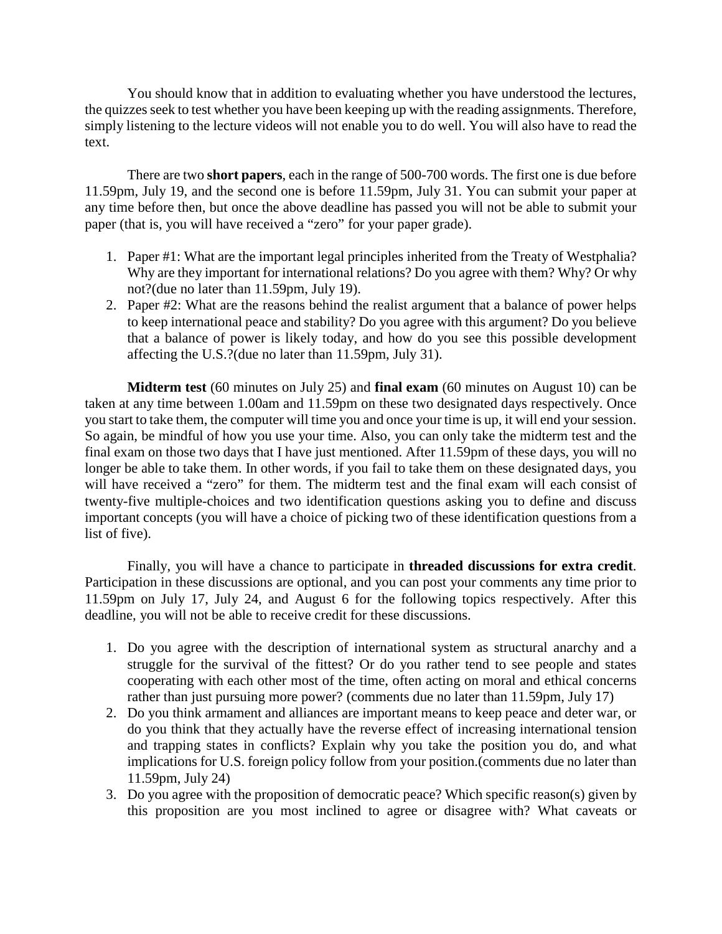You should know that in addition to evaluating whether you have understood the lectures, the quizzes seek to test whether you have been keeping up with the reading assignments. Therefore, simply listening to the lecture videos will not enable you to do well. You will also have to read the text.

There are two **short papers**, each in the range of 500-700 words. The first one is due before 11.59pm, July 19, and the second one is before 11.59pm, July 31. You can submit your paper at any time before then, but once the above deadline has passed you will not be able to submit your paper (that is, you will have received a "zero" for your paper grade).

- 1. Paper #1: What are the important legal principles inherited from the Treaty of Westphalia? Why are they important for international relations? Do you agree with them? Why? Or why not?(due no later than 11.59pm, July 19).
- 2. Paper #2: What are the reasons behind the realist argument that a balance of power helps to keep international peace and stability? Do you agree with this argument? Do you believe that a balance of power is likely today, and how do you see this possible development affecting the U.S.?(due no later than 11.59pm, July 31).

**Midterm test** (60 minutes on July 25) and **final exam** (60 minutes on August 10) can be taken at any time between 1.00am and 11.59pm on these two designated days respectively. Once you start to take them, the computer will time you and once your time is up, it will end your session. So again, be mindful of how you use your time. Also, you can only take the midterm test and the final exam on those two days that I have just mentioned. After 11.59pm of these days, you will no longer be able to take them. In other words, if you fail to take them on these designated days, you will have received a "zero" for them. The midterm test and the final exam will each consist of twenty-five multiple-choices and two identification questions asking you to define and discuss important concepts (you will have a choice of picking two of these identification questions from a list of five).

Finally, you will have a chance to participate in **threaded discussions for extra credit**. Participation in these discussions are optional, and you can post your comments any time prior to 11.59pm on July 17, July 24, and August 6 for the following topics respectively. After this deadline, you will not be able to receive credit for these discussions.

- 1. Do you agree with the description of international system as structural anarchy and a struggle for the survival of the fittest? Or do you rather tend to see people and states cooperating with each other most of the time, often acting on moral and ethical concerns rather than just pursuing more power? (comments due no later than 11.59pm, July 17)
- 2. Do you think armament and alliances are important means to keep peace and deter war, or do you think that they actually have the reverse effect of increasing international tension and trapping states in conflicts? Explain why you take the position you do, and what implications for U.S. foreign policy follow from your position.(comments due no later than 11.59pm, July 24)
- 3. Do you agree with the proposition of democratic peace? Which specific reason(s) given by this proposition are you most inclined to agree or disagree with? What caveats or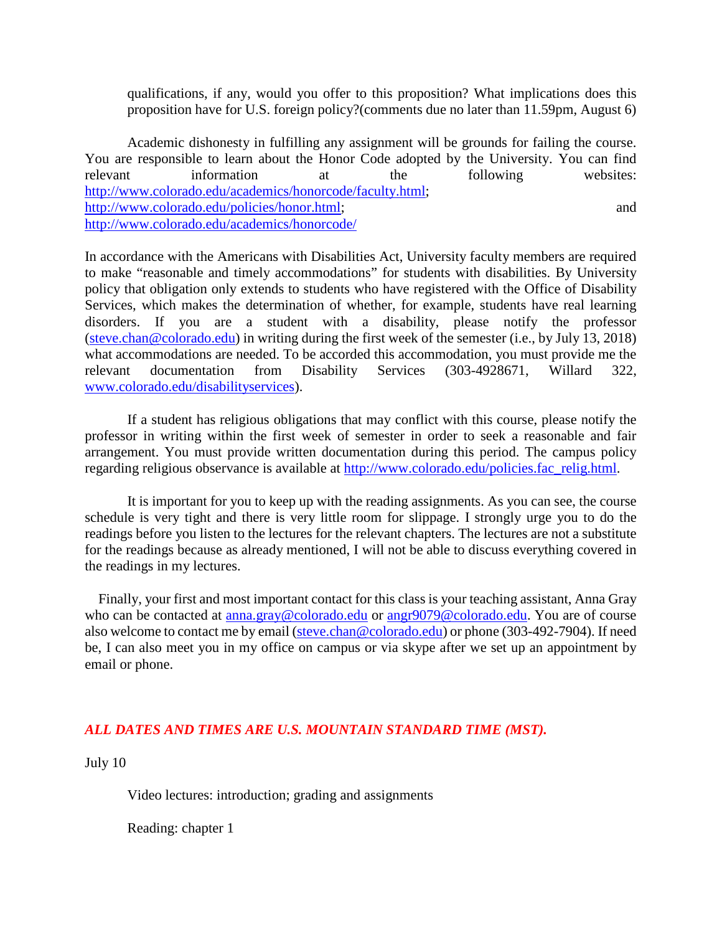qualifications, if any, would you offer to this proposition? What implications does this proposition have for U.S. foreign policy?(comments due no later than 11.59pm, August 6)

Academic dishonesty in fulfilling any assignment will be grounds for failing the course. You are responsible to learn about the Honor Code adopted by the University. You can find relevant information at the following websites: [http://www.colorado.edu/academics/honorcode/faculty.html;](http://www.colorado.edu/academics/honorcode/faculty.html) [http://www.colorado.edu/policies/honor.html;](http://www.colorado.edu/policies/honor.html) and <http://www.colorado.edu/academics/honorcode/>

In accordance with the Americans with Disabilities Act, University faculty members are required to make "reasonable and timely accommodations" for students with disabilities. By University policy that obligation only extends to students who have registered with the Office of Disability Services, which makes the determination of whether, for example, students have real learning disorders. If you are a student with a disability, please notify the professor [\(steve.chan@colorado.edu\)](mailto:steve.chan@colorado.edu) in writing during the first week of the semester (i.e., by July 13, 2018) what accommodations are needed. To be accorded this accommodation, you must provide me the relevant documentation from Disability Services (303-4928671, Willard 322, [www.colorado.edu/disabilityservices\)](http://www.colorado.edu/disabilityservices).

If a student has religious obligations that may conflict with this course, please notify the professor in writing within the first week of semester in order to seek a reasonable and fair arrangement. You must provide written documentation during this period. The campus policy regarding religious observance is available at [http://www.colorado.edu/policies.fac\\_relig.html.](http://www.colorado.edu/policies.fac_relig.html)

It is important for you to keep up with the reading assignments. As you can see, the course schedule is very tight and there is very little room for slippage. I strongly urge you to do the readings before you listen to the lectures for the relevant chapters. The lectures are not a substitute for the readings because as already mentioned, I will not be able to discuss everything covered in the readings in my lectures.

 Finally, your first and most important contact for this class is your teaching assistant, Anna Gray who can be contacted at [anna.gray@colorado.edu](mailto:anna.gray@colorado.edu) or [angr9079@colorado.edu.](mailto:angr9079@colorado.edu) You are of course also welcome to contact me by email [\(steve.chan@colorado.edu\)](mailto:steve.chan@colorado.edu) or phone (303-492-7904). If need be, I can also meet you in my office on campus or via skype after we set up an appointment by email or phone.

# *ALL DATES AND TIMES ARE U.S. MOUNTAIN STANDARD TIME (MST).*

July 10

Video lectures: introduction; grading and assignments

Reading: chapter 1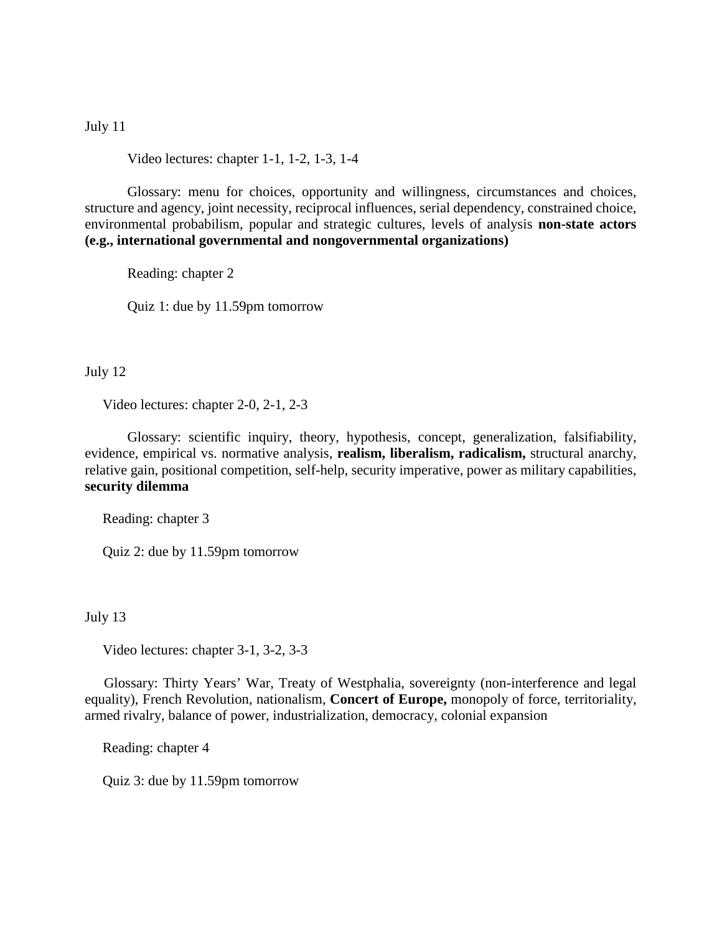## July 11

Video lectures: chapter 1-1, 1-2, 1-3, 1-4

Glossary: menu for choices, opportunity and willingness, circumstances and choices, structure and agency, joint necessity, reciprocal influences, serial dependency, constrained choice, environmental probabilism, popular and strategic cultures, levels of analysis **non-state actors (e.g., international governmental and nongovernmental organizations)**

Reading: chapter 2

Quiz 1: due by 11.59pm tomorrow

July 12

Video lectures: chapter 2-0, 2-1, 2-3

Glossary: scientific inquiry, theory, hypothesis, concept, generalization, falsifiability, evidence, empirical vs. normative analysis, **realism, liberalism, radicalism,** structural anarchy, relative gain, positional competition, self-help, security imperative, power as military capabilities, **security dilemma**

Reading: chapter 3

Quiz 2: due by 11.59pm tomorrow

July 13

Video lectures: chapter 3-1, 3-2, 3-3

 Glossary: Thirty Years' War, Treaty of Westphalia, sovereignty (non-interference and legal equality), French Revolution, nationalism, **Concert of Europe,** monopoly of force, territoriality, armed rivalry, balance of power, industrialization, democracy, colonial expansion

Reading: chapter 4

Quiz 3: due by 11.59pm tomorrow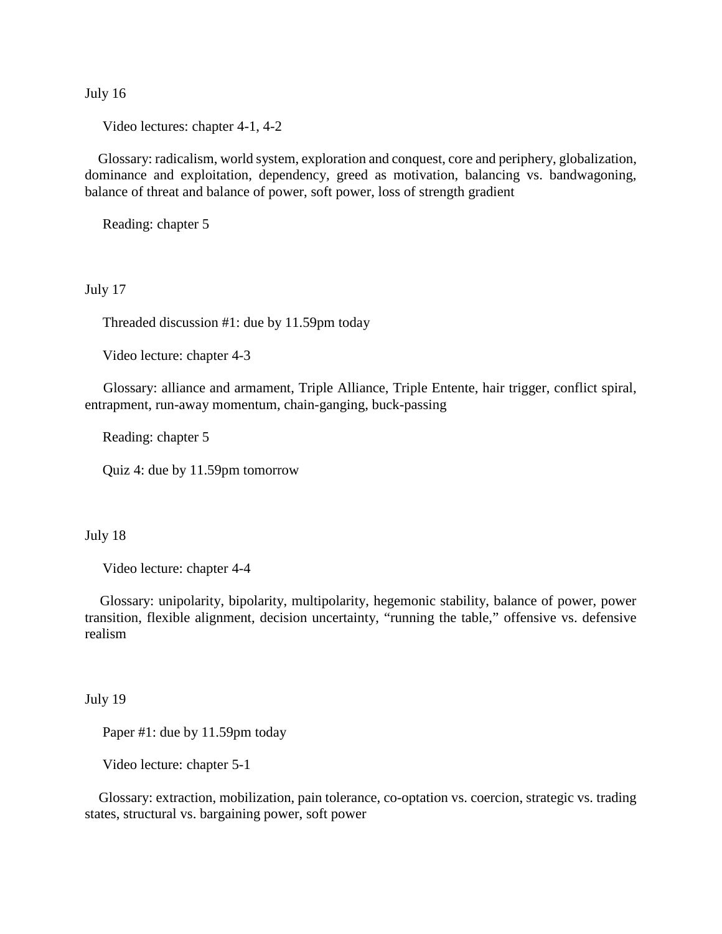July 16

Video lectures: chapter 4-1, 4-2

 Glossary: radicalism, world system, exploration and conquest, core and periphery, globalization, dominance and exploitation, dependency, greed as motivation, balancing vs. bandwagoning, balance of threat and balance of power, soft power, loss of strength gradient

Reading: chapter 5

July 17

Threaded discussion #1: due by 11.59pm today

Video lecture: chapter 4-3

 Glossary: alliance and armament, Triple Alliance, Triple Entente, hair trigger, conflict spiral, entrapment, run-away momentum, chain-ganging, buck-passing

Reading: chapter 5

Quiz 4: due by 11.59pm tomorrow

July 18

Video lecture: chapter 4-4

 Glossary: unipolarity, bipolarity, multipolarity, hegemonic stability, balance of power, power transition, flexible alignment, decision uncertainty, "running the table," offensive vs. defensive realism

July 19

Paper #1: due by 11.59pm today

Video lecture: chapter 5-1

 Glossary: extraction, mobilization, pain tolerance, co-optation vs. coercion, strategic vs. trading states, structural vs. bargaining power, soft power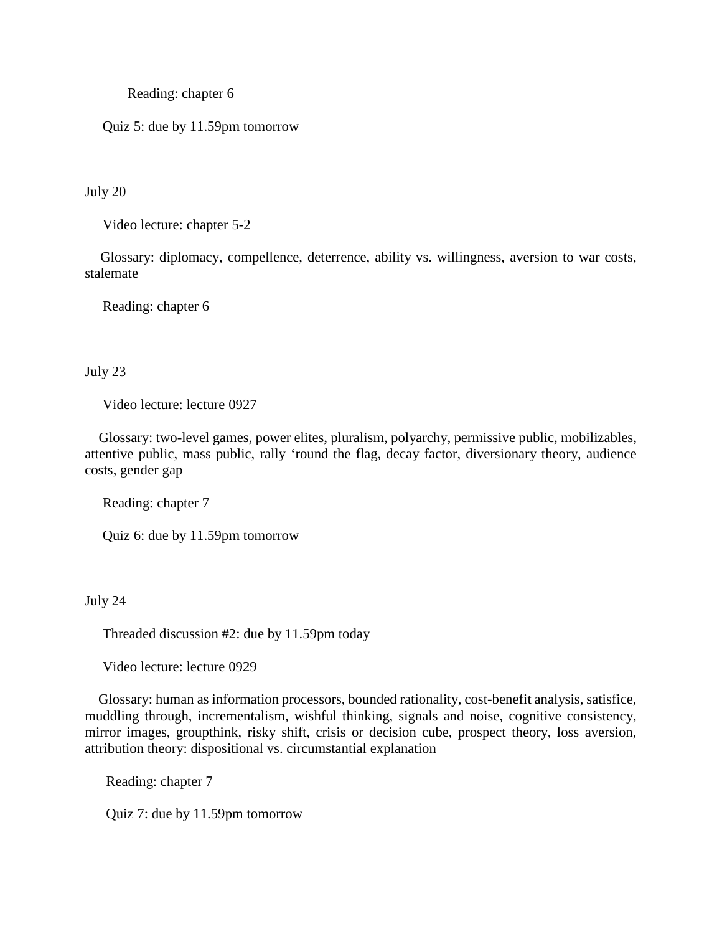Reading: chapter 6

Quiz 5: due by 11.59pm tomorrow

July 20

Video lecture: chapter 5-2

 Glossary: diplomacy, compellence, deterrence, ability vs. willingness, aversion to war costs, stalemate

Reading: chapter 6

July 23

Video lecture: lecture 0927

 Glossary: two-level games, power elites, pluralism, polyarchy, permissive public, mobilizables, attentive public, mass public, rally 'round the flag, decay factor, diversionary theory, audience costs, gender gap

Reading: chapter 7

Quiz 6: due by 11.59pm tomorrow

July 24

Threaded discussion #2: due by 11.59pm today

Video lecture: lecture 0929

 Glossary: human as information processors, bounded rationality, cost-benefit analysis, satisfice, muddling through, incrementalism, wishful thinking, signals and noise, cognitive consistency, mirror images, groupthink, risky shift, crisis or decision cube, prospect theory, loss aversion, attribution theory: dispositional vs. circumstantial explanation

Reading: chapter 7

Quiz 7: due by 11.59pm tomorrow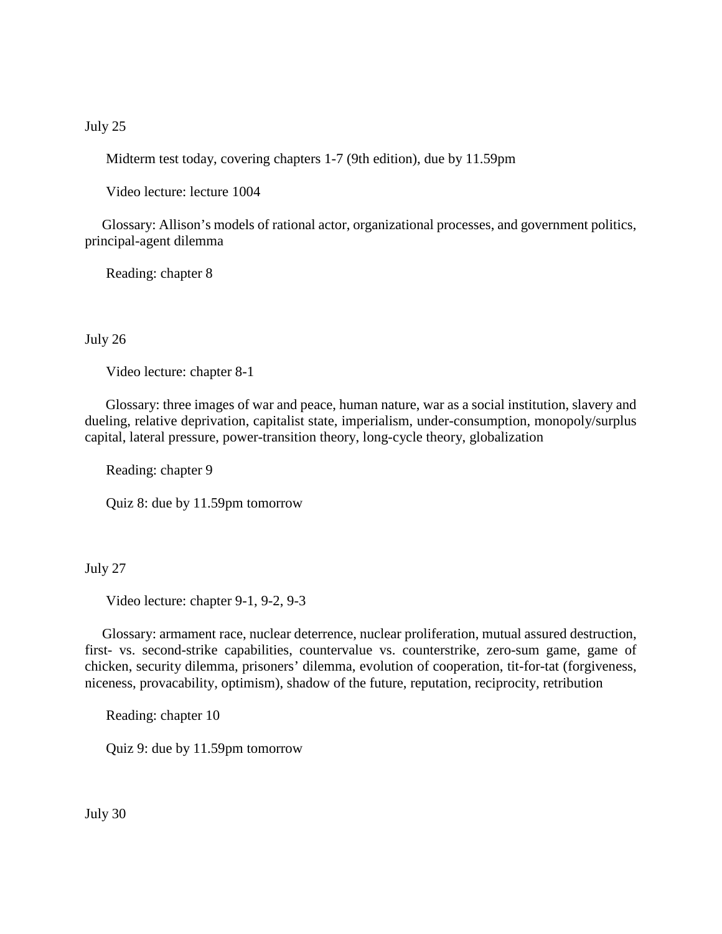## July 25

Midterm test today, covering chapters 1-7 (9th edition), due by 11.59pm

Video lecture: lecture 1004

 Glossary: Allison's models of rational actor, organizational processes, and government politics, principal-agent dilemma

Reading: chapter 8

#### July 26

Video lecture: chapter 8-1

 Glossary: three images of war and peace, human nature, war as a social institution, slavery and dueling, relative deprivation, capitalist state, imperialism, under-consumption, monopoly/surplus capital, lateral pressure, power-transition theory, long-cycle theory, globalization

Reading: chapter 9

Quiz 8: due by 11.59pm tomorrow

## July 27

Video lecture: chapter 9-1, 9-2, 9-3

 Glossary: armament race, nuclear deterrence, nuclear proliferation, mutual assured destruction, first- vs. second-strike capabilities, countervalue vs. counterstrike, zero-sum game, game of chicken, security dilemma, prisoners' dilemma, evolution of cooperation, tit-for-tat (forgiveness, niceness, provacability, optimism), shadow of the future, reputation, reciprocity, retribution

Reading: chapter 10

Quiz 9: due by 11.59pm tomorrow

July 30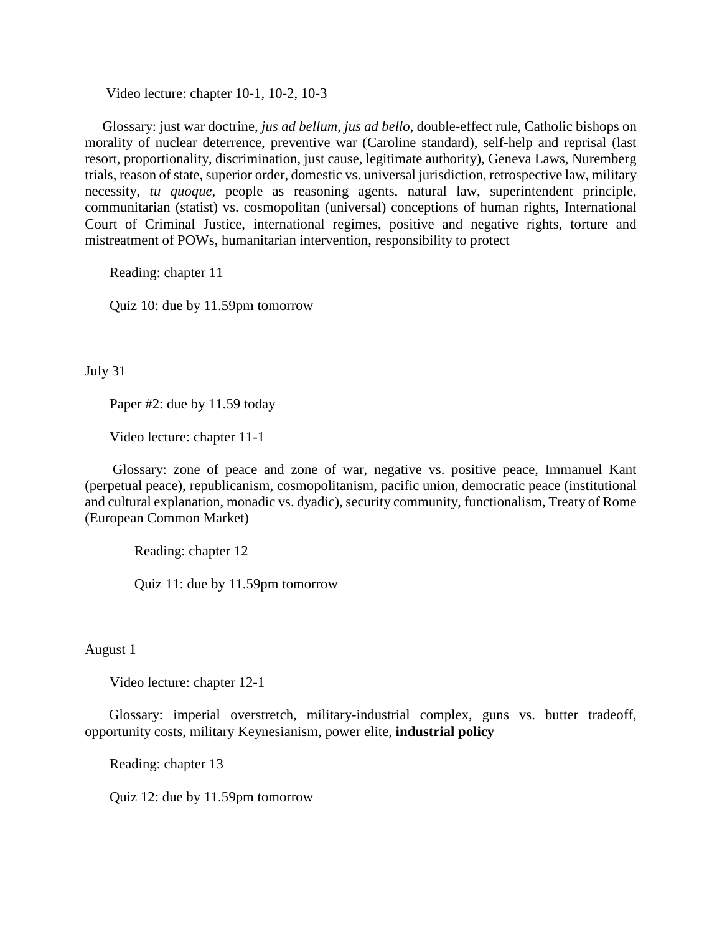Video lecture: chapter 10-1, 10-2, 10-3

 Glossary: just war doctrine, *jus ad bellum*, *jus ad bello*, double-effect rule, Catholic bishops on morality of nuclear deterrence, preventive war (Caroline standard), self-help and reprisal (last resort, proportionality, discrimination, just cause, legitimate authority), Geneva Laws, Nuremberg trials, reason of state, superior order, domestic vs. universal jurisdiction, retrospective law, military necessity, *tu quoque*, people as reasoning agents, natural law, superintendent principle, communitarian (statist) vs. cosmopolitan (universal) conceptions of human rights, International Court of Criminal Justice, international regimes, positive and negative rights, torture and mistreatment of POWs, humanitarian intervention, responsibility to protect

Reading: chapter 11

Quiz 10: due by 11.59pm tomorrow

July 31

Paper #2: due by 11.59 today

Video lecture: chapter 11-1

 Glossary: zone of peace and zone of war, negative vs. positive peace, Immanuel Kant (perpetual peace), republicanism, cosmopolitanism, pacific union, democratic peace (institutional and cultural explanation, monadic vs. dyadic), security community, functionalism, Treaty of Rome (European Common Market)

Reading: chapter 12

Quiz 11: due by 11.59pm tomorrow

August 1

Video lecture: chapter 12-1

 Glossary: imperial overstretch, military-industrial complex, guns vs. butter tradeoff, opportunity costs, military Keynesianism, power elite, **industrial policy**

Reading: chapter 13

Quiz 12: due by 11.59pm tomorrow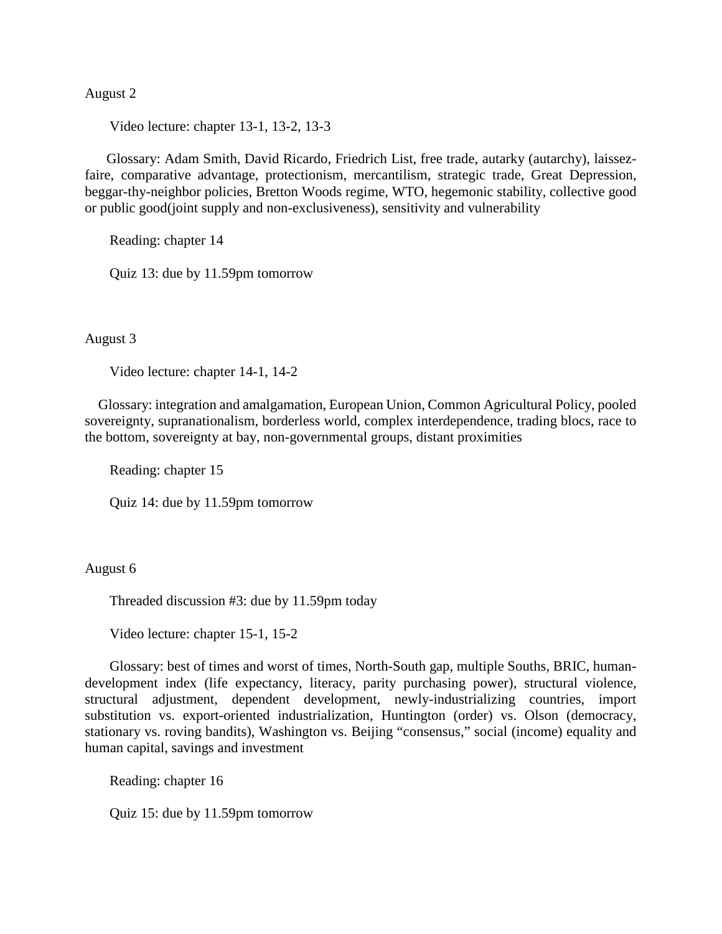### August 2

Video lecture: chapter 13-1, 13-2, 13-3

 Glossary: Adam Smith, David Ricardo, Friedrich List, free trade, autarky (autarchy), laissezfaire, comparative advantage, protectionism, mercantilism, strategic trade, Great Depression, beggar-thy-neighbor policies, Bretton Woods regime, WTO, hegemonic stability, collective good or public good(joint supply and non-exclusiveness), sensitivity and vulnerability

Reading: chapter 14

Quiz 13: due by 11.59pm tomorrow

August 3

Video lecture: chapter 14-1, 14-2

 Glossary: integration and amalgamation, European Union, Common Agricultural Policy, pooled sovereignty, supranationalism, borderless world, complex interdependence, trading blocs, race to the bottom, sovereignty at bay, non-governmental groups, distant proximities

Reading: chapter 15

Quiz 14: due by 11.59pm tomorrow

#### August 6

Threaded discussion #3: due by 11.59pm today

Video lecture: chapter 15-1, 15-2

 Glossary: best of times and worst of times, North-South gap, multiple Souths, BRIC, humandevelopment index (life expectancy, literacy, parity purchasing power), structural violence, structural adjustment, dependent development, newly-industrializing countries, import substitution vs. export-oriented industrialization, Huntington (order) vs. Olson (democracy, stationary vs. roving bandits), Washington vs. Beijing "consensus," social (income) equality and human capital, savings and investment

Reading: chapter 16

Quiz 15: due by 11.59pm tomorrow